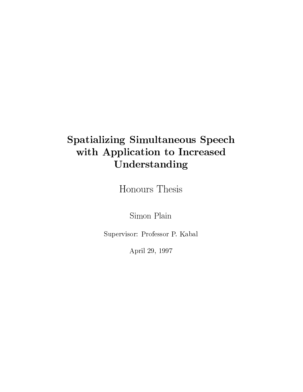## Spatializing Simultaneous Speech with Application to Increased Understanding

Honours Thesis

Simon Plain

Supervisor: Professor P. Kabal

April 29, 1997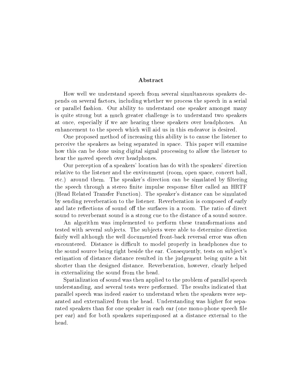#### Abstract

How well we understand speech from several simultaneous speakers depends on several factors, including whether we process the speech in a serial or parallel fashion. Our ability to understand one speaker amongst many is quite strong but a much greater challenge is to understand two speakers at once, especially if we are hearing these speakers over headphones. An enhancement to the speech which will aid us in this endeavor is desired.

One proposed method of increasing this ability is to cause the listener to perceive the speakers as being separated in space. This paper will examine how this can be done using digital signal processing to allow the listener to hear the moved speech over headphones.

Our perception of a speakers' location has do with the speakers' direction relative to the listener and the environment (room, open space, concert hall, etc.) around them. The speaker's direction can be simulated by filtering the speech through a stereo finite impulse response filter called an HRTF (Head Related Transfer Function). The speaker's distance can be simulated by sending reverberation to the listener. Reverberation is composed of early and late reflections of sound off the surfaces in a room. The ratio of direct sound to reverberant sound is a strong cue to the distance of a sound source.

An algorithm was implemented to perform these transformations and tested with several subjects. The subjects were able to determine direction fairly well although the well documented front-back reversal error was often encountered. Distance is difficult to model properly in headphones due to the sound source being right beside the ear. Consequently, tests on sub ject's estimation of distance distance resulted in the judgement being quite a bit shorter than the designed distance. Reverberation, however, clearly helped in externalizing the sound from the head.

Spatialization of sound was then applied to the problem of parallel speech understanding, and several tests were performed. The results indicated that parallel speech was indeed easier to understand when the speakers were separated and externalized from the head. Understanding was higher for separated speakers than for one speaker in each ear (one mono-phone speech file per ear) and for both speakers superimposed at a distance external to the head.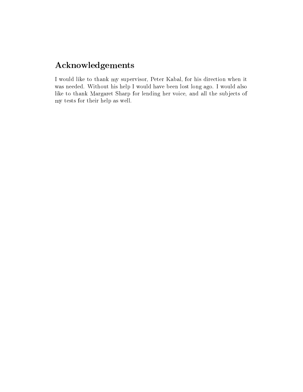#### Acknowledgements

I would like to thank my supervisor, Peter Kabal, for his direction when it was needed. Without his help I would have been lost long ago. I would also like to thank Margaret Sharp for lending her voice, and all the subjects of my tests for their help as well.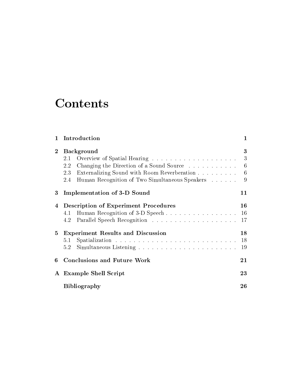# **Contents**

| $\mathbf{1}$   | Introduction                                                                                                                                                                               | 1                                   |
|----------------|--------------------------------------------------------------------------------------------------------------------------------------------------------------------------------------------|-------------------------------------|
| $\overline{2}$ | <b>Background</b><br>2.1<br>Changing the Direction of a Sound Source<br>2.2<br>Externalizing Sound with Room Reverberation<br>2.3<br>Human Recognition of Two Simultaneous Speakers<br>2.4 | 3<br>3<br>$6\phantom{.}6$<br>6<br>9 |
| 3              | Implementation of 3-D Sound                                                                                                                                                                | 11                                  |
| 4              | <b>Description of Experiment Procedures</b><br>Human Recognition of 3-D Speech<br>4.1<br>4.2                                                                                               | 16<br><b>16</b><br>-17              |
| 5.             | <b>Experiment Results and Discussion</b><br>5.1<br>5.2                                                                                                                                     | 18<br>-18<br>19                     |
| 6              | <b>Conclusions and Future Work</b>                                                                                                                                                         | 21                                  |
|                | A Example Shell Script                                                                                                                                                                     | 23                                  |
|                | <b>Bibliography</b>                                                                                                                                                                        | 26                                  |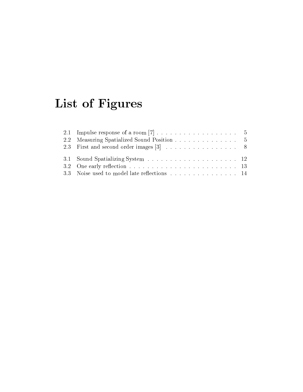# List of Figures

| 2.2 Measuring Spatialized Sound Position 5 |  |
|--------------------------------------------|--|
|                                            |  |
|                                            |  |
|                                            |  |
|                                            |  |
|                                            |  |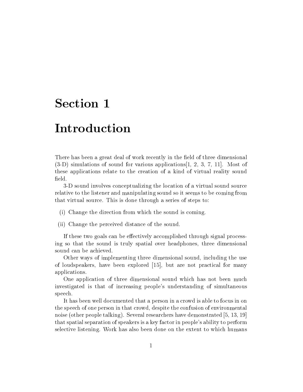### Introduction

There has been a great deal of work recently in the field of three dimensional (3-D) simulations of sound for various applications[1, 2, 3, 7, 11]. Most of these applications relate to the creation of a kind of virtual reality sound field.

3-D sound involves conceptualizing the location of a virtual sound source relative to the listener and manipulating sound so it seems to be coming from that virtual source. This is done through a series of steps to:

- (i) Change the direction from which the sound is coming.
- (ii) Change the perceived distance of the sound.

If these two goals can be effectively accomplished through signal processing so that the sound is truly spatial over headphones, three dimensional sound can be achieved.

Other ways of implementing three dimensional sound, including the use of loudspeakers, have been explored [15], but are not practical for many applications.

One application of three dimensional sound which has not been much investigated is that of increasing people's understanding of simultaneous speech.

It has been well documented that a person in a crowd is able to focus in on the speech of one person in that crowd, despite the confusion of environmental noise (other people talking). Several researchers have demonstrated [5, 13, 19] that spatial separation of speakers is a key factor in people's ability to perform selective listening. Work has also been done on the extent to which humans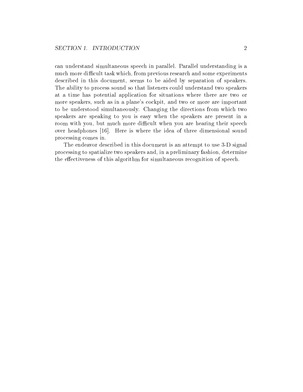can understand simultaneous speech in parallel. Parallel understanding is a much more difficult task which, from previous research and some experiments described in this document, seems to be aided by separation of speakers. The ability to process sound so that listeners could understand two speakers at a time has potential application for situations where there are two or more speakers, such as in a plane's cockpit, and two or more are important to be understood simultaneously. Changing the directions from which two speakers are speaking to you is easy when the speakers are present in a room with you, but much more difficult when you are hearing their speech over headphones [16]. Here is where the idea of three dimensional sound processing comes in.

The endeavor described in this document is an attempt to use 3-D signal processing to spatialize two speakers and, in a preliminary fashion, determine the effectiveness of this algorithm for simultaneous recognition of speech.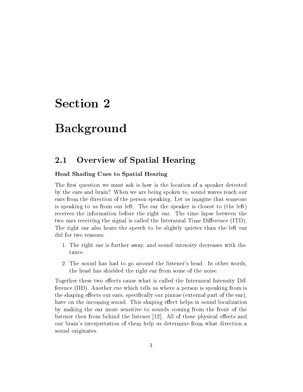### Background

#### 2.1 Overview of Spatial Hearing

#### Head Shading Cues to Spatial Hearing

The first question we must ask is how is the location of a speaker detected by the ears and brain? When we are being spoken to, sound waves reach our ears from the direction of the person speaking. Let us imagine that someone is speaking to us from our left. The ear the speaker is closest to (the left) receives the information before the right ear. The time lapse between the two ears receiving the signal is called the Interaural Time Difference (ITD). The right ear also hears the speech to be slightly quieter than the left ear did for two reasons:

- 1. The right ear is further away, and sound intensity decreases with distance.
- 2. The sound has had to go around the listener's head. In other words, the head has shielded the right ear from some of the noise.

Together these two effects cause what is called the Interaural Intensity Difference (IID). Another cue which tells us where a person is speaking from is the shaping effects our ears, specifically our pinnae (external part of the ear), have on the incoming sound. This shaping effect helps in sound localization by making the ear more sensitive to sounds coming from the front of the listener then from behind the listener  $[12]$ . All of these physical effects and our brain's interpretation of them help us determine from what direction a sound originates.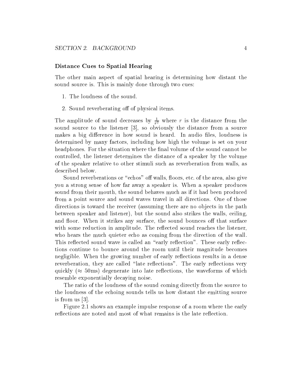#### Distance Cues to Spatial Hearing

The other main aspect of spatial hearing is determining how distant the sound source is. This is mainly done through two cues:

- 1. The loudness of the sound.
- 2. Sound reverberating off of physical items.

The amplitude of sound decreases by  $\frac{1}{r^2}$  where r is the distance from the sound source to the listener [3], so obviously the distance from a source makes a big difference in how sound is heard. In audio files, loudness is determined by many factors, including how high the volume is set on your headphones. For the situation where the final volume of the sound cannot be controlled, the listener determines the distance of a speaker by the volume of the speaker relative to other stimuli such as reverberation from walls, as described below.

Sound reverberations or "echos" off walls, floors, etc. of the area, also give you a strong sense of how far away a speaker is. When a speaker produces sound from their mouth, the sound behaves much as if it had been produced from a point source and sound waves travel in all directions. One of those directions is toward the receiver (assuming there are no objects in the path between speaker and listener), but the sound also strikes the walls, ceiling, and floor. When it strikes any surface, the sound bounces off that surface with some reduction in amplitude. The reflected sound reaches the listener, who hears the much quieter echo as coming from the direction of the wall. This reflected sound wave is called an "early reflection". These early reflections continue to bounce around the room until their magnitude becomes negligible. When the growing number of early reflections results in a dense reverberation, they are called "late reflections". The early reflections very quickly ( $\approx 50$ ms) degenerate into late reflections, the waveforms of which resemble exponentially decaying noise.

The ratio of the loudness of the sound coming directly from the source to the loudness of the echoing sounds tells us how distant the emitting source is from us [3].

Figure 2.1 shows an example impulse response of a room where the early reflections are noted and most of what remains is the late reflection.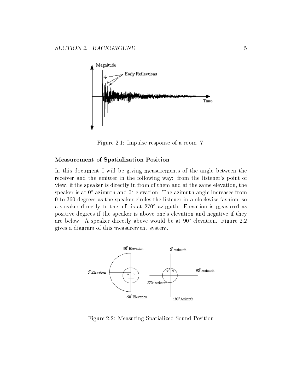

Figure 2.1: Impulse response of a room [7]

#### Measurement of Spatialization Position

In this document I will be giving measurements of the angle between the receiver and the emitter in the following way: from the listener's point of view, if the speaker is directly in from of them and at the same elevation, the speaker is at  $0^{\circ}$  azimuth and  $0^{\circ}$  elevation. The azimuth angle increases from 0 to 360 degrees as the speaker circles the listener in a clockwise fashion, so a speaker directly to the left is at 270° azimuth. Elevation is measured as positive degrees if the speaker is above one's elevation and negative ifthey are below. A speaker directly above would be at  $90^{\circ}$  elevation. Figure 2.2 gives a diagram of this measurement system.



Figure 2.2: Measuring Spatialized Sound Position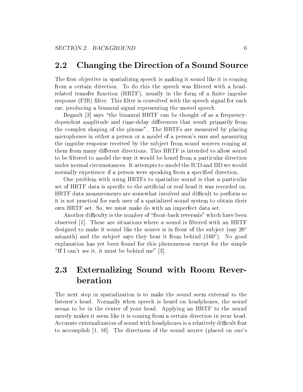#### 2.2 Changing the Direction of a Sound Source

The first objective in spatializing speech is making it sound like it is coming from a certain direction. To do this the speech was ltered with a headrelated transfer function (HRTF), usually in the form of a finite impulse response (FIR) filter. This filter is convolved with the speech signal for each ear, producing a binaural signal representing the moved speech.

Begault [3] says \the binaural HRTF can be thought of as a frequencydependent amplitude and time-delay differences that result primarily from the complex shaping of the pinnae". The HRTFs are measured by placing microphones in either a person or a model of a person's ears and measuring the impulse response received by the subject from sound sources coming at them from many different directions. This HRTF is intended to allow sound to be filtered to model the way it would be heard from a particular direction under normal circumstances. It attempts to model the IUD and IID we would normally experience if a person were speaking from a specied direction.

One problem with using HRTFs to spatialize sound is that a particular set of HRTF data is specific to the artificial or real head it was recorded on. HRTF data measurements are somewhat involved and difficult to perform so it is not practical for each user of a spatialized sound system to obtain their own HRTF set. So, we must make do with an imperfect data set.

Another difficulty is the number of "front-back reversals" which have been observed [1]. These are situations where a sound is ltered with an HRTF designed to make it sound like the source is in front of the subject (say 20<sup>o</sup>) azimuth) and the subject says they hear it from behind  $(160^{\circ})$ . No good explanation has yet been found for this phenomenon except for the simple "If I can't see it, it must be behind me"  $[3]$ .

#### 2.3 Externalizing Sound with Room Reverberation

The next step in spatialization is to make the sound seem external to the listener's head. Normally when speech is heard on headphones, the sound seems to be in the center of your head. Applying an HRTF to the sound merely makes it seem like it is coming from a certain direction in your head. Accurate externalization of sound with headphones is a relatively difficult feat to accomplish [1, 16]. The directness of the sound source (placed on one's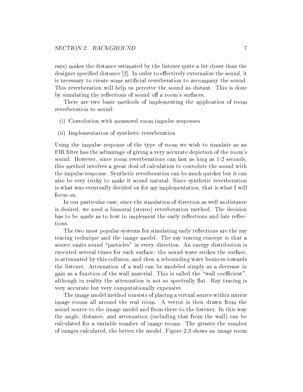ears) makes the distance estimated by the listener quite a bit closer than the designer specified distance  $[2]$ . In order to effectively externalize the sound, it is necessary to create some articial reverberation to accompany the sound. This reverberation will help us perceive the sound as distant. This is done by simulating the reflections of sound off a room's surfaces.

There are two basic methods of implementing the application of room reverberation to sound:

- (i) Convolution with measured room impulse responses
- (ii) Implementation of synthetic reverberation

Using the impulse response of the type of room we wish to simulate as an FIR filter has the advantage of giving a very accurate depiction of the room's sound. However, since room reverberations can last as long as 1-2 seconds, this method involves a great deal of calculation to convolute the sound with the impulse response. Synthetic reverberation can be much quicker but it can also be very tricky to make it sound natural. Since synthetic reverberation is what was eventually decided on for my implementation, that is what I will focus on.

In our particular case, since the simulation of direction as well as distance is desired, we need a binaural (stereo) reverberation method. The decision has to be made as to how to implement the early reflections and late reflections.

The two most popular systems for simulating early reflections are the ray tracing technique and the image model. The ray tracing concept is that a source emits sound "particles" in every direction. An energy distribution is executed several times for each surface: the sound wave strikes the surface, is attenuated by this collision, and then a rebounding wave bounces towards the listener. Attenuation of a wall can be modeled simply as a decrease in gain as a function of the wall material. This is called the "wall coefficient". although in reality the attenuation is not so spectrally flat. Ray tracing is very accurate but very computationally expensive.

The image model method consists of placing a virtual source within mirror image rooms all around the real room. A vector is then drawn from the sound source to the image model and from there to the listener. In this way the angle, distance, and attenuation (including that from the wall) can be calculated for a variable number of image rooms. The greater the number of images calculated, the better the model. Figure 2.3 shows an image room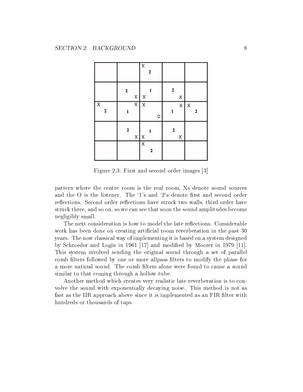|                              |                            | $\overline{\textbf{X}}$<br>2 |                  |                  |
|------------------------------|----------------------------|------------------------------|------------------|------------------|
|                              | $\bf{2}$<br>X              | 1<br>$\mathbf X$             | 2<br>X           |                  |
| $\overline{\mathbf{X}}$<br>2 | $\overline{\text{X}}$<br>1 | $\overline{\mathbf{x}}$<br>O | $\mathbf X$<br>1 | $\mathbf X$<br>2 |
|                              | 2<br>$\mathbf X$           | 1<br>X                       | 2<br>X           |                  |
|                              |                            | $\overline{\mathbf{x}}$<br>2 |                  |                  |

Figure 2.3: First and second order images [3]

pattern where the centre room is the real room, Xs denote sound sources and the  $\overline{O}$  is the listener. The '1's and '2's denote first and second order reflections. Second order reflections have struck two walls, third order have struck three, and so on, so we can see that soon the sound amplitudes become negligibly small.

The next consideration is how to model the late reflections. Considerable work has been done on creating artificial room reverberation in the past 30 years. The now classical way of implementing it is based on a system designed by Schroeder and Login in 1961 [17] and modied by Moorer in 1979 [11]. This system involved sending the original sound through a set of parallel comb filters followed by one or more allpass filters to modify the phase for a more natural sound. The comb filters alone were found to cause a sound similar to that coming through a hollow tube.

Another method which creates very realistic late reverberation is to convolve the sound with exponentially decaying noise. This method is not as fast as the IIR approach above since it is implemented as an FIR filter with hundreds or thousands of taps.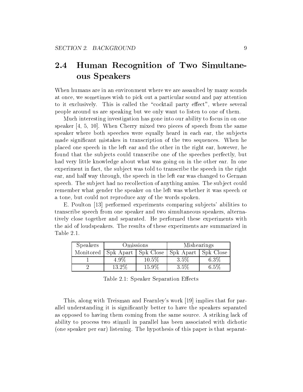#### 2.4 Human Recognition of Two Simultaneous Speakers

When humans are in an environment where we are assaulted by many sounds at once, we sometimes wish to pick out a particular sound and pay attention to it exclusively. This is called the "cocktail party effect", where several people around us are speaking but we only want to listen to one of them.

Much interesting investigation has gone into our ability to focus in on one speaker [4, 5, 10]. When Cherry mixed two pieces of speech from the same speaker where both speeches were equally heard in each ear, the subjects made significant mistakes in transcription of the two sequences. When he placed one speech in the left ear and the other in the right ear, however, he found that the subjects could transcribe one of the speeches perfectly, but had very little knowledge about what was going on in the other ear. In one experiment in fact, the subject was told to transcribe the speech in the right ear, and half way through, the speech in the left ear was changed to German speech. The subject had no recollection of anything amiss. The subject could remember what gender the speaker on the left was whether it was speech or a tone, but could not reproduce any of the words spoken.

E. Poulton [13] performed experiments comparing subjects' abilities to transcribe speech from one speaker and two simultaneous speakers, alternatively close together and separated. He performed these experiments with the aid of loudspeakers. The results of these experiments are summarized in Table 2.1.

| <b>Speakers</b> | Omissions                                                 |          | Mishearings |         |
|-----------------|-----------------------------------------------------------|----------|-------------|---------|
|                 | Monitored   Spk Apart   Spk Close   Spk Apart   Spk Close |          |             |         |
|                 | $4.9\%$                                                   | $10.5\%$ | 3.5%        | $6.3\%$ |
|                 | 13.2%                                                     | 15.9%    | 3.5%        | 6.5%    |

Table 2.1: Speaker Separation Effects

This, along with Treisman and Fearnley's work [19] implies that for parallel understanding it is signicantly better to have the speakers separated as opposed to having them coming from the same source. A striking lack of ability to process two stimuli in parallel has been associated with dichotic (one speaker per ear) listening. The hypothesis of this paper is that separat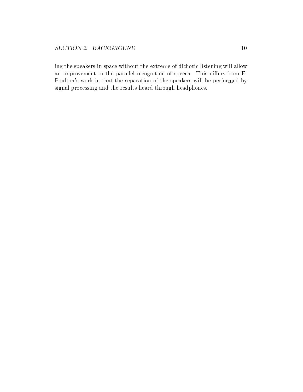ing the speakers in space without the extreme of dichotic listening will allow an improvement in the parallel recognition of speech. This differs from E. Poulton's work in that the separation of the speakers will be performed by signal processing and the results heard through headphones.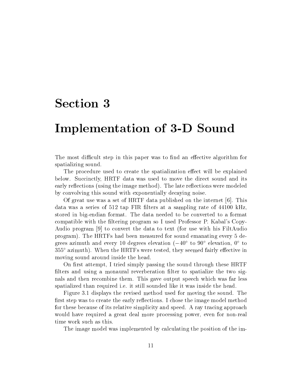#### Implementation of 3-D Sound

The most difficult step in this paper was to find an effective algorithm for spatializing sound.

The procedure used to create the spatialization effect will be explained below. Succinctly, HRTF data was used to move the direct sound and its early reflections (using the image method). The late reflections were modeled by convolving this sound with exponentially decaying noise.

Of great use was a set of HRTF data published on the internet [6]. This data was a series of 512 tap FIR filters at a sampling rate of 44100 kHz. stored in big-endian format. The data needed to be converted to a format compatible with the filtering program so I used Professor P. Kabal's Copy-Audio program [9] to convert the data to text (for use with his FiltAudio program). The HRTFs had been measured for sound emanating every 5 degrees azimuth and every 10 degrees elevation  $(-40^{\circ}$  to  $90^{\circ}$  elevation,  $0^{\circ}$  to  $355^{\circ}$  azimuth). When the HRTFs were tested, they seemed fairly effective in moving sound around inside the head.

On first attempt, I tried simply passing the sound through these HRTF filters and using a monaural reverberation filter to spatialize the two signals and then recombine them. This gave output speech which was far less spatialized than required i.e. it still sounded like it was inside the head.

Figure 3.1 displays the revised method used for moving the sound. The first step was to create the early reflections. I chose the image model method for these because of its relative simplicity and speed. A ray tracing approach would have required a great deal more processing power, even for non-real time work such as this.

The image model was implemented by calculating the position of the im-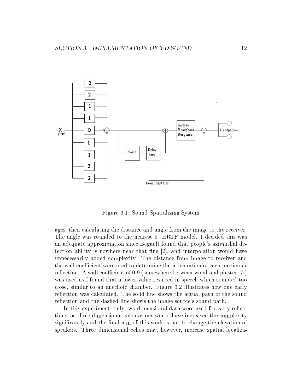

Figure 3.1: Sound Spatializing System

ages, then calculating the distance and angle from the image to the receiver. The angle was rounded to the nearest  $5^{\circ}$  HRTF model. I decided this was an adequate approximation since Begault found that people's azimuthal detection ability is nowhere near that fine  $[2]$ , and interpolation would have unnecessarily added complexity. The distance from image to receiver and the wall coefficient were used to determine the attenuation of each particular reflection. A wall coefficient of 0.9 (somewhere between wood and plaster [7]) was used as I found that a lower value resulted in speech which sounded too close, similar to an anechoic chamber. Figure 3.2 illustrates how one early reflection was calculated. The solid line shows the actual path of the sound reflection and the dashed line shows the image source's sound path.

In this experiment, only two dimensional data were used for early reflections, as three dimensional calculations would have increased the complexity significantly and the final aim of this work is not to change the elevation of speakers. Three dimensional echos may, however, increase spatial localiza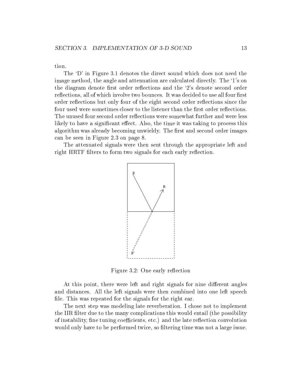tion.

The `D' in Figure 3.1 denotes the direct sound which does not need the image method, the angle and attenuation are calculated directly. The `1's on the diagram denote first order reflections and the '2's denote second order reflections, all of which involve two bounces. It was decided to use all four first order reflections but only four of the eight second order reflections since the four used were sometimes closer to the listener than the first order reflections. The unused four second order reflections were somewhat further and were less likely to have a significant effect. Also, the time it was taking to process this algorithm was already becoming unwieldy. The first and second order images can be seen in Figure 2.3 on page 8.

The attenuated signals were then sent through the appropriate left and right HRTF filters to form two signals for each early reflection.



Figure 3.2: One early reflection

At this point, there were left and right signals for nine different angles and distances. All the left signals were then combined into one left speech file. This was repeated for the signals for the right ear.

The next step was modeling late reverberation. I chose not to implement the IIR filter due to the many complications this would entail (the possibility of instability, fine tuning coefficients, etc.) and the late reflection convolution would only have to be performed twice, so filtering time was not a large issue.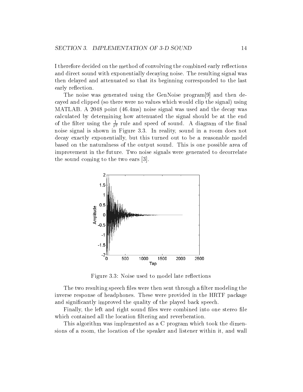I therefore decided on the method of convolving the combined early reflections and direct sound with exponentially decaying noise. The resulting signal was then delayed and attenuated so that its beginning corresponded to the last early reflection.

The noise was generated using the GenNoise program[9] and then decayed and clipped (so there were no values which would clip the signal) using MATLAB. A 2048 point (46.4ms) noise signal was used and the decay was calculated by determining how attenuated the signal should be at the end of the filter using the  $\frac{1}{r^2}$  rule and speed of sound. A diagram of the final noise signal is shown in Figure 3.3. In reality, sound in a room does not decay exactly exponentially, but this turned out to be a reasonable model based on the naturalness of the output sound. This is one possible area of improvement in the future. Two noise signals were generated to decorrelate the sound coming to the two ears [3].



Figure 3.3: Noise used to model late reflections

The two resulting speech files were then sent through a filter modeling the inverse response of headphones. These were provided in the HRTF package and signicantly improved the quality of the played back speech.

Finally, the left and right sound files were combined into one stereo file which contained all the location filtering and reverberation.

This algorithm was implemented as a C program which took the dimensions of a room, the location of the speaker and listener within it, and wall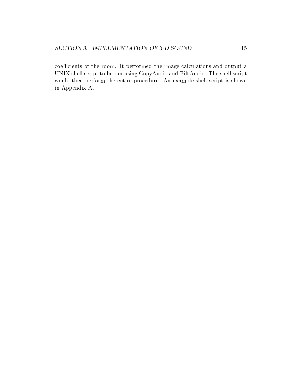coefficients of the room. It performed the image calculations and output a UNIX shell script to be run using CopyAudio and FiltAudio. The shell script would then perform the entire procedure. An example shell script is shown in Appendix A.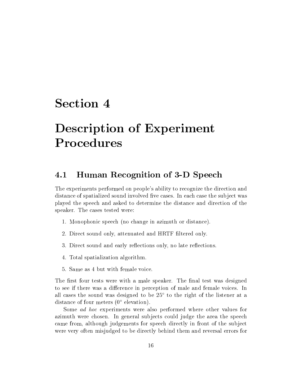# Description of Experiment Procedures

#### 4.1 Human Recognition of 3-D Speech

The experiments performed on people's ability to recognize the direction and distance of spatialized sound involved five cases. In each case the subject was played the speech and asked to determine the distance and direction of the speaker. The cases tested were:

- 1. Monophonic speech (no change in azimuth or distance).
- 2. Direct sound only, attenuated and HRTF ltered only.
- 3. Direct sound and early reflections only, no late reflections.
- 4. Total spatialization algorithm.
- 5. Same as 4 but with female voice.

The first four tests were with a male speaker. The final test was designed to see if there was a difference in perception of male and female voices. In all cases the sound was designed to be  $25^{\circ}$  to the right of the listener at a distance of four meters  $(0^{\circ}$  elevation).

Some ad hoc experiments were also performed where other values for azimuth were chosen. In general subjects could judge the area the speech came from, although judgements for speech directly in front of the subject were very often misjudged to be directly behind them and reversal errors for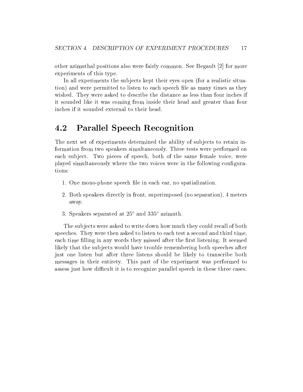other azimuthal positions also were fairly common. See Begault [2] for more experiments of this type.

In all experiments the subjects kept their eyes open (for a realistic situation) and were permitted to listen to each speech le as many times as they wished. They were asked to describe the distance as less than four inches if it sounded like it was coming from inside their head and greater than four inches if it sounded external to their head.

#### 4.2 Parallel Speech Recognition

The next set of experiments determined the ability of subjects to retain information from two speakers simultaneously. Three tests were performed on each subject. Two pieces of speech, both of the same female voice, were played simultaneously where the two voices were in the following congurations:

- 1. One mono-phone speech file in each ear, no spatialization.
- 2. Both speakers directly in front, superimposed (no separation), 4 meters away.
- 3. Speakers separated at  $25^{\circ}$  and  $335^{\circ}$  azimuth.

The subjects were asked to write down how much they could recall of both speeches. They were then asked to listen to each test a second and third time, each time filling in any words they missed after the first listening. It seemed likely that the subjects would have trouble remembering both speeches after just one listen but after three listens should be likely to transcribe both messages in their entirety. This part of the experiment was performed to assess just how difficult it is to recognize parallel speech in these three cases.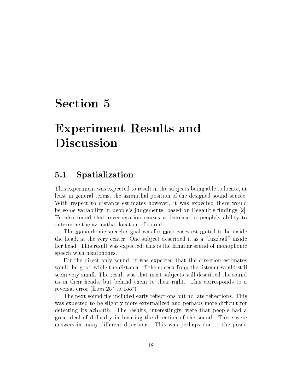# Experiment Results and Discussion

#### 5.1 Spatialization

This experiment was expected to result in the subjects being able to locate, at least in general terms, the azimuthal position of the designed sound source. With respect to distance estimates however, it was expected there would be some variability in people's judgements, based on Begault's findings [2]. He also found that reverberation causes a decrease in people's ability to determine the azimuthal location of sound.

The monophonic speech signal was for most cases estimated to be inside the head, at the very center. One subject described it as a \fuzzball" inside her head. This result was expected; this is the familiar sound of monophonic speech with headphones.

For the direct only sound, it was expected that the direction estimates would be good while the distance of the speech from the listener would still seem very small. The result was that most subjects still described the sound as in their heads, but behind them to their right. This corresponds to a reversal error (from  $25^{\circ}$  to  $155^{\circ}$ ).

The next sound file included early reflections but no late reflections. This was expected to be slightly more externalized and perhaps more difficult for detecting its azimuth. The results, interestingly, were that people had a great deal of difficulty in locating the direction of the sound. There were answers in many different directions. This was perhaps due to the possi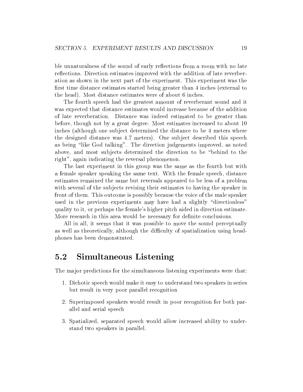ble unnaturalness of the sound of early reflections from a room with no late reflections. Direction estimates improved with the addition of late reverberation as shown in the next part of the experiment. This experiment was the first time distance estimates started being greater than 4 inches (external to the head). Most distance estimates were of about 6 inches.

The fourth speech had the greatest amount of reverberant sound and it was expected that distance estimates would increase because of the addition of late reverberation. Distance was indeed estimated to be greater than before, though not by a great degree. Most estimates increased to about 10 inches (although one subject determined the distance to be 4 meters where the designed distance was 4.7 meters). One subject described this speech as being \like God talking". The direction judgements improved, as noted above, and most subjects determined the direction to be "behind to the right", again indicating the reversal phenomenon.

The last experiment in this group was the same as the fourth but with a female speaker speaking the same text. With the female speech, distance estimates remained the same but reversals appeared to be less of a problem with several of the subjects revising their estimates to having the speaker in front of them. This outcome is possibly because the voice of the male speaker used in the previous experiments may have had a slightly "directionless" quality to it, or perhaps the female's higher pitch aided in direction estimate. More research in this area would be necessary for definite conclusions.

All in all, it seems that it was possible to move the sound perceptually as well as theoretically, although the difficulty of spatialization using headphones has been demonstrated.

#### Simultaneous Listening  $5.2$

The major predictions for the simultaneous listening experiments were that:

- 1. Dichotic speech would make it easy to understand two speakers in series but result in very poor parallel recognition
- 2. Superimposed speakers would result in poor recognition for both parallel and serial speech
- 3. Spatialized, separated speech would allow increased ability to understand two speakers in parallel.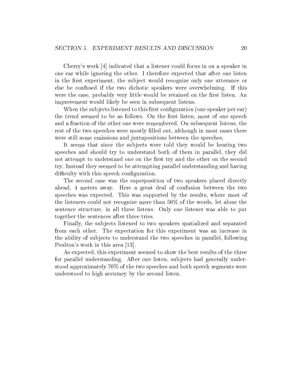Cherry's work [4] indicated that a listener could focus in on a speaker in one ear while ignoring the other. I therefore expected that after one listen in the first experiment, the subject would recognize only one utterance or else be confused if the two dichotic speakers were overwhelming. If this were the case, probably very little would be retained on the first listen. An improvement would likely be seen in subsequent listens.

When the subjects listened to this first configuration (one speaker per ear) the trend seemed to be as follows. On the first listen, most of one speech and a fraction of the other one were remembered. On subsequent listens, the rest of the two speeches were mostly filled out, although in most cases there were still some omissions and juxtapositions between the speeches.

It seems that since the subjects were told they would be hearing two speeches and should try to understand both of them in parallel, they did not attempt to understand one on the first try and the other on the second try. Instead they seemed to be attempting parallel understanding and having difficulty with this speech configuration.

The second case was the superposition of two speakers placed directly ahead, 4 meters away. Here a great deal of confusion between the two speeches was expected. This was supported by the results, where most of the listeners could not recognize more than  $50\%$  of the words, let alone the sentence structure, in all three listens. Only one listener was able to put together the sentences after three tries.

Finally, the subjects listened to two speakers spatialized and separated from each other. The expectation for this experiment was an increase in the ability of subjects to understand the two speeches in parallel, following Poulton's work in this area [13].

As expected, this experiment seemed to show the best results of the three for parallel understanding. After one listen, subjects had generally understood approximately 70% of the two speeches and both speech segments were understood to high accuracy by the second listen.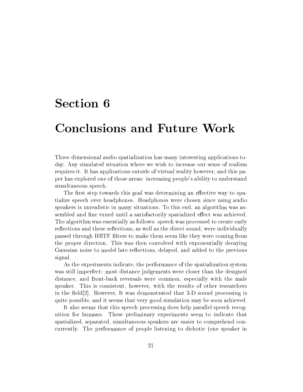### Conclusions and Future Work

Three dimensional audio spatialization has many interesting applications today. Any simulated situation where we wish to increase our sense of realism requires it. It has applications outside of virtual reality however, and this paper has explored one of those areas: increasing people's ability to understand simultaneous speech.

The first step towards this goal was determining an effective way to spatialize speech over headphones. Headphones were chosen since using audio speakers is unrealistic in many situations. To this end, an algorithm was assembled and fine tuned until a satisfactorily spatialized effect was achieved. The algorithm was essentially as follows: speech was processed to create early reflections and these reflections, as well as the direct sound, were individually passed through HRTF lters to make them seem like they were coming from the proper direction. This was then convolved with exponentially decaying Gaussian noise to model late reflections, delayed, and added to the previous signal.

As the experiments indicate, the performance of the spatialization system was still imperfect: most distance judgements were closer than the designed distance, and front-back reversals were common, especially with the male speaker. This is consistent, however, with the results of other researchers in the field  $[2]$ . However, It was demonstrated that 3-D sound processing is quite possible, and it seems that very good simulation may be soon achieved.

It also seems that this speech processing does help parallel speech recognition for humans. These preliminary experiments seem to indicate that spatialized, separated, simultaneous speakers are easier to comprehend concurrently. The performance of people listening to dichotic (one speaker in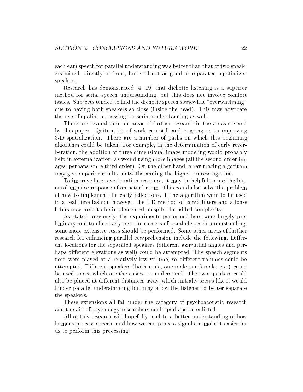each ear) speech for parallel understanding was better than that of two speakers mixed, directly in front, but still not as good as separated, spatialized speakers.

Research has demonstrated [4, 19] that dichotic listening is a superior method for serial speech understanding, but this does not involve comfort issues. Subjects tended to find the dichotic speech somewhat "overwhelming" due to having both speakers so close (inside the head). This may advocate the use of spatial processing for serial understanding as well.

There are several possible areas of further research in the areas covered by this paper. Quite a bit of work can still and is going on in improving 3-D spatialization. There are a number of paths on which this beginning algorithm could be taken. For example, in the determination of early reverberation, the addition of three dimensional image modeling would probably help in externalization, as would using more images (all the second order images, perhaps some third order). On the other hand, a ray tracing algorithm may give superior results, notwithstanding the higher processing time.

To improve late reverberation response, it may be helpful to use the binaural impulse response of an actual room. This could also solve the problem of how to implement the early reflections. If the algorithm were to be used in a real-time fashion however, the IIR method of comb filters and allpass filters may need to be implemented, despite the added complexity.

As stated previously, the experiments performed here were largely preliminary and to effectively test the success of parallel speech understanding, some more extensive tests should be performed. Some other areas of further research for enhancing parallel comprehension include the following. Different locations for the separated speakers (different azimuthal angles and perhaps different elevations as well) could be attempted. The speech segments used were played at a relatively low volume, so different volumes could be attempted. Different speakers (both male, one male one female, etc.) could be used to see which are the easiest to understand. The two speakers could also be placed at different distances away, which initially seems like it would hinder parallel understanding but may allow the listener to better separate the speakers.

These extensions all fall under the category of psychoacoustic research and the aid of psychology researchers could perhaps be enlisted.

All of this research will hopefully lead to a better understanding of how humans process speech, and how we can process signals to make it easier for us to perform this processing.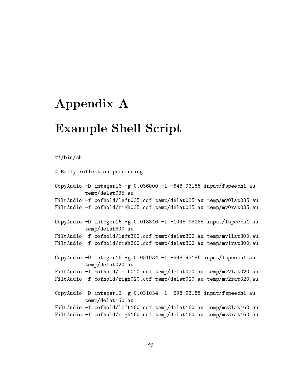## Appendix A

#### Example Shell Script

#!/bin/sh

# Early reflection processing CopyAudio  $-D$  integer16  $-g$  0.036000  $-1$   $-648:93185$  input/fspeech1.au temp/delat035.au FiltAudio -f cofhold/left035.cof temp/delat035.au temp/mv0lat035.au FiltAudio -f cofhold/righ035.cof temp/delat035.au temp/mv0rat035.au CopyAudio -D integer16 -g 0.013846 -l -1045:93185 input/fspeech1.au temp/delat300.au FiltAudio -f cofhold/left300.cof temp/delat300.au temp/mv1lat300.au FiltAudio -f cofhold/righ300.cof temp/delat300.au temp/mv1rat300.au CopyAudio -D integer16 -g 0.031034 -l -698:93185 input/fspeech1.au temp/delat020.au FiltAudio -f cofhold/left020.cof temp/delat020.au temp/mv2lat020.au FiltAudio -f cofhold/righ020.cof temp/delat020.au temp/mv2rat020.au CopyAudio  $-D$  integer16  $-g$  0.031034  $-1$  -698:93185 input/fspeech1.au temp/delat160.au FiltAudio -f cofhold/left160.cof temp/delat160.au temp/mv3lat160.au FiltAudio -f cofhold/righ160.cof temp/delat160.au temp/mv3rat160.au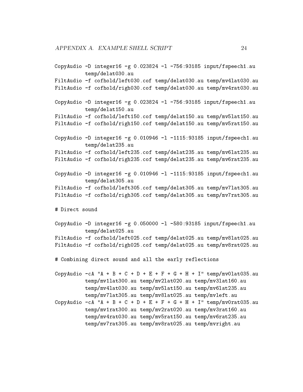```
CopyAudio -D integer16 -g 0.023824 -l -756:93185 input/fspeech1.au
         temp/delat030.au
FiltAudio -f cofhold/left030.cof temp/delat030.au temp/mv4lat030.au
FiltAudio -f cofhold/righ030.cof temp/delat030.au temp/mv4rat030.au
CopyAudio -D integer16 -g 0.023824 -l -756:93185 input/fspeech1.au
         temp/delat150.au
FiltAudio -f cofhold/left150.cof temp/delat150.au temp/mv5lat150.au
FiltAudio -f cofhold/righ150.cof temp/delat150.au temp/mv5rat150.au
CopyAudio -D integer16 -g 0.010946 -1 -1115:93185 input/fspeech1.au
         temp/delat235.au
FiltAudio -f cofhold/left235.cof temp/delat235.au temp/mv6lat235.au
FiltAudio -f cofhold/righ235.cof temp/delat235.au temp/mv6rat235.au
CopyAudio -D integer16 -g 0.010946 -l -1115:93185 input/fspeech1.au
         temp/delat305.au
FiltAudio -f cofhold/left305.cof temp/delat305.au temp/mv7lat305.au
FiltAudio -f cofhold/righ305.cof temp/delat305.au temp/mv7rat305.au
# Direct sound
CopyAudio -D integer16 -g 0.050000 -1 -580:93185 input/fspeech1.au
         temp/delat025.au
FiltAudio -f cofhold/left025.cof temp/delat025.au temp/mv8lat025.au
FiltAudio -f cofhold/righ025.cof temp/delat025.au temp/mv8rat025.au
# Combining direct sound and all the early reflections
CopyAudio -cA "A + B + C + D + E + F + G + H + I" temp/mv0lat035.au
         temp/mv1lat300.au temp/mv2lat020.au temp/mv3lat160.au
         temp/mv4lat030.au temp/mv5lat150.au temp/mv6lat235.au
         temp/mv7lat305.au temp/mv8lat025.au temp/mvleft.au
CopyAudio -cA "A + B + C + D + E + F + G + H + I" temp/mv0rat035.au
         temp/mv1rat300.au temp/mv2rat020.au temp/mv3rat160.au
         temp/mv4rat030.au temp/mv5rat150.au temp/mv6rat235.au
         temp/mv7rat305.au temp/mv8rat025.au temp/mvright.au
```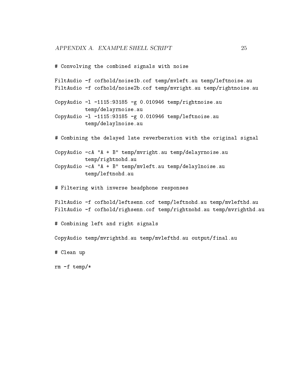```
# Convolving the combined signals with noise
FiltAudio -f cofhold/noise1b.cof temp/mvleft.au temp/leftnoise.au
FiltAudio -f cofhold/noise2b.cof temp/mvright.au temp/rightnoise.au
CopyAudio -l -1115:93185 -g 0.010946 temp/rightnoise.au
         temp/delayrnoise.au
CopyAudio -l -1115:93185 -g 0.010946 temp/leftnoise.au
         temp/delaylnoise.au
# Combining the delayed late reverberation with the original signal
CopyAudio -cA "A + B" temp/mvright.au temp/delayrnoise.au
         temp/rightnohd.au
CopyAudio -cA "A + B" temp/mvleft.au temp/delaylnoise.au
         temp/leftnohd.au
# Filtering with inverse headphone responses
FiltAudio -f cofhold/leftsenn.cof temp/leftnohd.au temp/mvlefthd.au
FiltAudio -f cofhold/righsenn.cof temp/rightnohd.au temp/mvrighthd.au
# Combining left and right signals
CopyAudio temp/mvrighthd.au temp/mvlefthd.au output/final.au
# Clean up
rm -f temp/*
```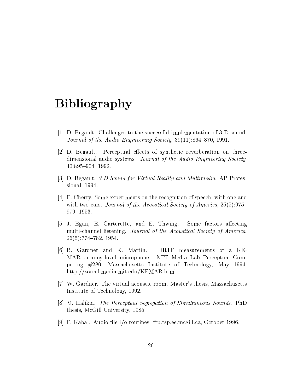# Bibliography

- [1] D. Begault. Challenges to the successful implementation of 3-D sound. Journal of the Audio Engineering Society,  $39(11):864-870$ , 1991.
- [2] D. Begault. Perceptual effects of synthetic reverberation on threedimensional audio systems. Journal of the Audio Engineering Society, 40:895-904, 1992.
- [3] D. Begault. 3-D Sound for Virtual Reality and Multimedia. AP Professional, 1994.
- [4] E. Cherry. Some experiments on the recognition of speech, with one and with two ears. Journal of the Acoustical Society of America, 25(5):975-979, 1953.
- [5] J. Egan, E. Carterette, and E. Thwing. Some factors affecting multi-channel listening. Journal of the Acoustical Society of America,  $26(5):774-782, 1954.$
- [6] B. Gardner and K. Martin. HRTF measurements of a KE-MAR dummy-head microphone. MIT Media Lab Perceptual Computing #280, Massachusetts Institute of Technology, May 1994. http://sound.media.mit.edu/KEMAR.html.
- [7] W. Gardner. The virtual acoustic room. Master's thesis, Massachusetts Institute of Technology, 1992.
- [8] M. Halikia. The Perceptual Segregation of Simultaneous Sounds. PhD thesis, McGill University, 1985.
- [9] P. Kabal. Audio file i/o routines. ftp.tsp.ee.mcgill.ca, October 1996.